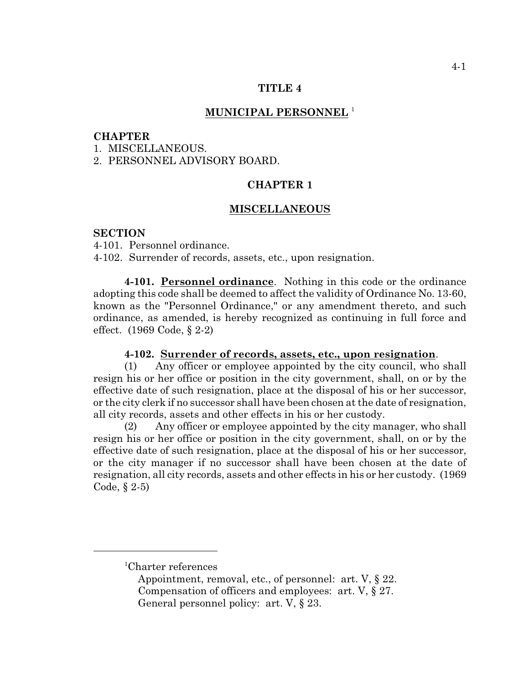#### **TITLE 4**

# **MUNICIPAL PERSONNEL** <sup>1</sup>

### **CHAPTER**

1. MISCELLANEOUS.

2. PERSONNEL ADVISORY BOARD.

# **CHAPTER 1**

### **MISCELLANEOUS**

#### **SECTION**

4-101. Personnel ordinance.

4-102. Surrender of records, assets, etc., upon resignation.

**4-101. Personnel ordinance**. Nothing in this code or the ordinance adopting this code shall be deemed to affect the validity of Ordinance No. 13-60, known as the "Personnel Ordinance," or any amendment thereto, and such ordinance, as amended, is hereby recognized as continuing in full force and effect. (1969 Code, § 2-2)

#### **4-102. Surrender of records, assets, etc., upon resignation**.

(1) Any officer or employee appointed by the city council, who shall resign his or her office or position in the city government, shall, on or by the effective date of such resignation, place at the disposal of his or her successor, or the city clerk if no successor shall have been chosen at the date of resignation, all city records, assets and other effects in his or her custody.

(2) Any officer or employee appointed by the city manager, who shall resign his or her office or position in the city government, shall, on or by the effective date of such resignation, place at the disposal of his or her successor, or the city manager if no successor shall have been chosen at the date of resignation, all city records, assets and other effects in his or her custody. (1969 Code, § 2-5)

 ${}^{1}$ Charter references

Appointment, removal, etc., of personnel: art. V, § 22. Compensation of officers and employees: art. V, § 27. General personnel policy: art. V, § 23.